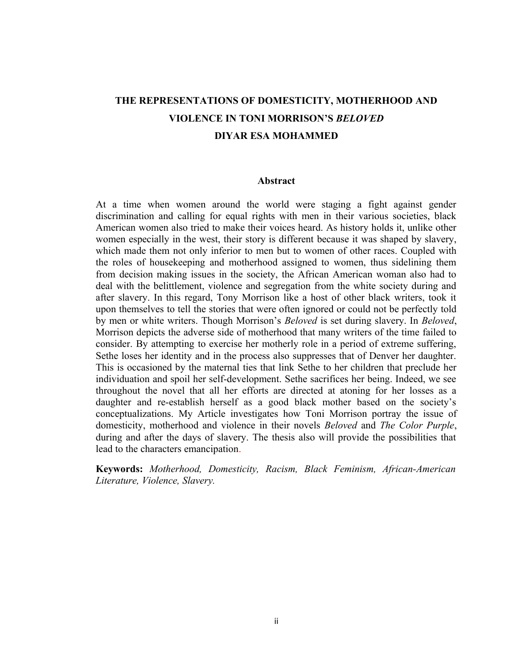# **THE REPRESENTATIONS OF DOMESTICITY, MOTHERHOOD AND VIOLENCE IN TONI MORRISON'S** *BELOVED*  **DIYAR ESA MOHAMMED**

### **Abstract**

At a time when women around the world were staging a fight against gender discrimination and calling for equal rights with men in their various societies, black American women also tried to make their voices heard. As history holds it, unlike other women especially in the west, their story is different because it was shaped by slavery, which made them not only inferior to men but to women of other races. Coupled with the roles of housekeeping and motherhood assigned to women, thus sidelining them from decision making issues in the society, the African American woman also had to deal with the belittlement, violence and segregation from the white society during and after slavery. In this regard, Tony Morrison like a host of other black writers, took it upon themselves to tell the stories that were often ignored or could not be perfectly told by men or white writers. Though Morrison's *Beloved* is set during slavery. In *Beloved*, Morrison depicts the adverse side of motherhood that many writers of the time failed to consider. By attempting to exercise her motherly role in a period of extreme suffering, Sethe loses her identity and in the process also suppresses that of Denver her daughter. This is occasioned by the maternal ties that link Sethe to her children that preclude her individuation and spoil her self-development. Sethe sacrifices her being. Indeed, we see throughout the novel that all her efforts are directed at atoning for her losses as a daughter and re-establish herself as a good black mother based on the society's conceptualizations. My Article investigates how Toni Morrison portray the issue of domesticity, motherhood and violence in their novels *Beloved* and *The Color Purple*, during and after the days of slavery. The thesis also will provide the possibilities that lead to the characters emancipation.

**Keywords:** *Motherhood, Domesticity, Racism, Black Feminism, African-American Literature, Violence, Slavery.*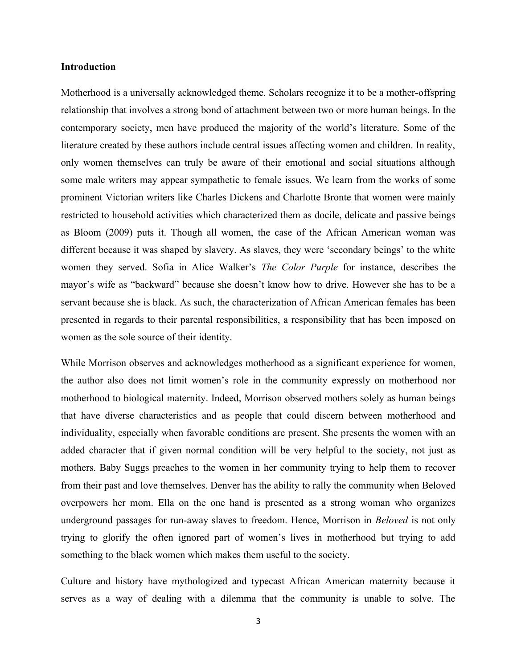### **Introduction**

Motherhood is a universally acknowledged theme. Scholars recognize it to be a mother-offspring relationship that involves a strong bond of attachment between two or more human beings. In the contemporary society, men have produced the majority of the world's literature. Some of the literature created by these authors include central issues affecting women and children. In reality, only women themselves can truly be aware of their emotional and social situations although some male writers may appear sympathetic to female issues. We learn from the works of some prominent Victorian writers like Charles Dickens and Charlotte Bronte that women were mainly restricted to household activities which characterized them as docile, delicate and passive beings as Bloom (2009) puts it. Though all women, the case of the African American woman was different because it was shaped by slavery. As slaves, they were 'secondary beings' to the white women they served. Sofia in Alice Walker's *The Color Purple* for instance, describes the mayor's wife as "backward" because she doesn't know how to drive. However she has to be a servant because she is black. As such, the characterization of African American females has been presented in regards to their parental responsibilities, a responsibility that has been imposed on women as the sole source of their identity.

While Morrison observes and acknowledges motherhood as a significant experience for women, the author also does not limit women's role in the community expressly on motherhood nor motherhood to biological maternity. Indeed, Morrison observed mothers solely as human beings that have diverse characteristics and as people that could discern between motherhood and individuality, especially when favorable conditions are present. She presents the women with an added character that if given normal condition will be very helpful to the society, not just as mothers. Baby Suggs preaches to the women in her community trying to help them to recover from their past and love themselves. Denver has the ability to rally the community when Beloved overpowers her mom. Ella on the one hand is presented as a strong woman who organizes underground passages for run-away slaves to freedom. Hence, Morrison in *Beloved* is not only trying to glorify the often ignored part of women's lives in motherhood but trying to add something to the black women which makes them useful to the society.

Culture and history have mythologized and typecast African American maternity because it serves as a way of dealing with a dilemma that the community is unable to solve. The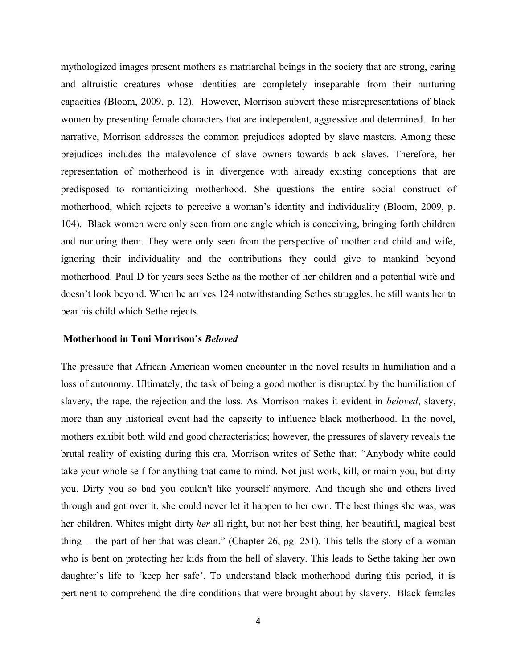mythologized images present mothers as matriarchal beings in the society that are strong, caring and altruistic creatures whose identities are completely inseparable from their nurturing capacities (Bloom, 2009, p. 12). However, Morrison subvert these misrepresentations of black women by presenting female characters that are independent, aggressive and determined. In her narrative, Morrison addresses the common prejudices adopted by slave masters. Among these prejudices includes the malevolence of slave owners towards black slaves. Therefore, her representation of motherhood is in divergence with already existing conceptions that are predisposed to romanticizing motherhood. She questions the entire social construct of motherhood, which rejects to perceive a woman's identity and individuality (Bloom, 2009, p. 104). Black women were only seen from one angle which is conceiving, bringing forth children and nurturing them. They were only seen from the perspective of mother and child and wife, ignoring their individuality and the contributions they could give to mankind beyond motherhood. Paul D for years sees Sethe as the mother of her children and a potential wife and doesn't look beyond. When he arrives 124 notwithstanding Sethes struggles, he still wants her to bear his child which Sethe rejects.

#### **Motherhood in Toni Morrison's** *Beloved*

The pressure that African American women encounter in the novel results in humiliation and a loss of autonomy. Ultimately, the task of being a good mother is disrupted by the humiliation of slavery, the rape, the rejection and the loss. As Morrison makes it evident in *beloved*, slavery, more than any historical event had the capacity to influence black motherhood. In the novel, mothers exhibit both wild and good characteristics; however, the pressures of slavery reveals the brutal reality of existing during this era. Morrison writes of Sethe that: "Anybody white could take your whole self for anything that came to mind. Not just work, kill, or maim you, but dirty you. Dirty you so bad you couldn't like yourself anymore. And though she and others lived through and got over it, she could never let it happen to her own. The best things she was, was her children. Whites might dirty *her* all right, but not her best thing, her beautiful, magical best thing -- the part of her that was clean." (Chapter 26, pg. 251). This tells the story of a woman who is bent on protecting her kids from the hell of slavery. This leads to Sethe taking her own daughter's life to 'keep her safe'. To understand black motherhood during this period, it is pertinent to comprehend the dire conditions that were brought about by slavery. Black females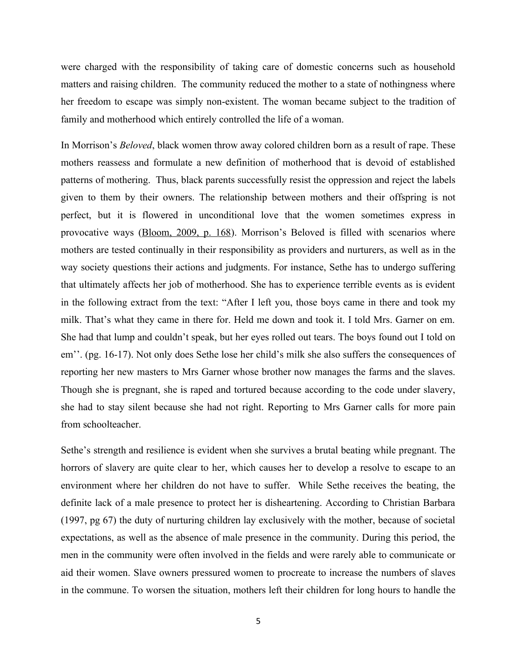were charged with the responsibility of taking care of domestic concerns such as household matters and raising children. The community reduced the mother to a state of nothingness where her freedom to escape was simply non-existent. The woman became subject to the tradition of family and motherhood which entirely controlled the life of a woman.

In Morrison's *Beloved*, black women throw away colored children born as a result of rape. These mothers reassess and formulate a new definition of motherhood that is devoid of established patterns of mothering. Thus, black parents successfully resist the oppression and reject the labels given to them by their owners. The relationship between mothers and their offspring is not perfect, but it is flowered in unconditional love that the women sometimes express in provocative ways (Bloom, 2009, p. 168). Morrison's Beloved is filled with scenarios where mothers are tested continually in their responsibility as providers and nurturers, as well as in the way society questions their actions and judgments. For instance, Sethe has to undergo suffering that ultimately affects her job of motherhood. She has to experience terrible events as is evident in the following extract from the text: "After I left you, those boys came in there and took my milk. That's what they came in there for. Held me down and took it. I told Mrs. Garner on em. She had that lump and couldn't speak, but her eyes rolled out tears. The boys found out I told on em''. (pg. 16-17). Not only does Sethe lose her child's milk she also suffers the consequences of reporting her new masters to Mrs Garner whose brother now manages the farms and the slaves. Though she is pregnant, she is raped and tortured because according to the code under slavery, she had to stay silent because she had not right. Reporting to Mrs Garner calls for more pain from schoolteacher.

Sethe's strength and resilience is evident when she survives a brutal beating while pregnant. The horrors of slavery are quite clear to her, which causes her to develop a resolve to escape to an environment where her children do not have to suffer. While Sethe receives the beating, the definite lack of a male presence to protect her is disheartening. According to Christian Barbara (1997, pg 67) the duty of nurturing children lay exclusively with the mother, because of societal expectations, as well as the absence of male presence in the community. During this period, the men in the community were often involved in the fields and were rarely able to communicate or aid their women. Slave owners pressured women to procreate to increase the numbers of slaves in the commune. To worsen the situation, mothers left their children for long hours to handle the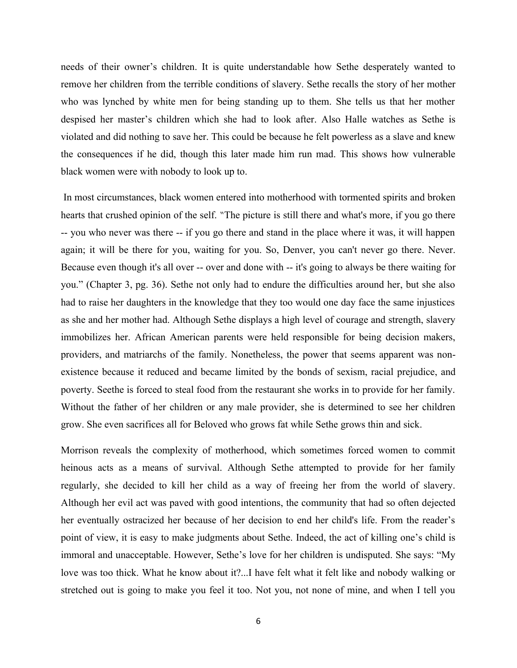needs of their owner's children. It is quite understandable how Sethe desperately wanted to remove her children from the terrible conditions of slavery. Sethe recalls the story of her mother who was lynched by white men for being standing up to them. She tells us that her mother despised her master's children which she had to look after. Also Halle watches as Sethe is violated and did nothing to save her. This could be because he felt powerless as a slave and knew the consequences if he did, though this later made him run mad. This shows how vulnerable black women were with nobody to look up to.

 In most circumstances, black women entered into motherhood with tormented spirits and broken hearts that crushed opinion of the self. "The picture is still there and what's more, if you go there -- you who never was there -- if you go there and stand in the place where it was, it will happen again; it will be there for you, waiting for you. So, Denver, you can't never go there. Never. Because even though it's all over -- over and done with -- it's going to always be there waiting for you." (Chapter 3, pg. 36). Sethe not only had to endure the difficulties around her, but she also had to raise her daughters in the knowledge that they too would one day face the same injustices as she and her mother had. Although Sethe displays a high level of courage and strength, slavery immobilizes her. African American parents were held responsible for being decision makers, providers, and matriarchs of the family. Nonetheless, the power that seems apparent was nonexistence because it reduced and became limited by the bonds of sexism, racial prejudice, and poverty. Seethe is forced to steal food from the restaurant she works in to provide for her family. Without the father of her children or any male provider, she is determined to see her children grow. She even sacrifices all for Beloved who grows fat while Sethe grows thin and sick.

Morrison reveals the complexity of motherhood, which sometimes forced women to commit heinous acts as a means of survival. Although Sethe attempted to provide for her family regularly, she decided to kill her child as a way of freeing her from the world of slavery. Although her evil act was paved with good intentions, the community that had so often dejected her eventually ostracized her because of her decision to end her child's life. From the reader's point of view, it is easy to make judgments about Sethe. Indeed, the act of killing one's child is immoral and unacceptable. However, Sethe's love for her children is undisputed. She says: "My love was too thick. What he know about it?...I have felt what it felt like and nobody walking or stretched out is going to make you feel it too. Not you, not none of mine, and when I tell you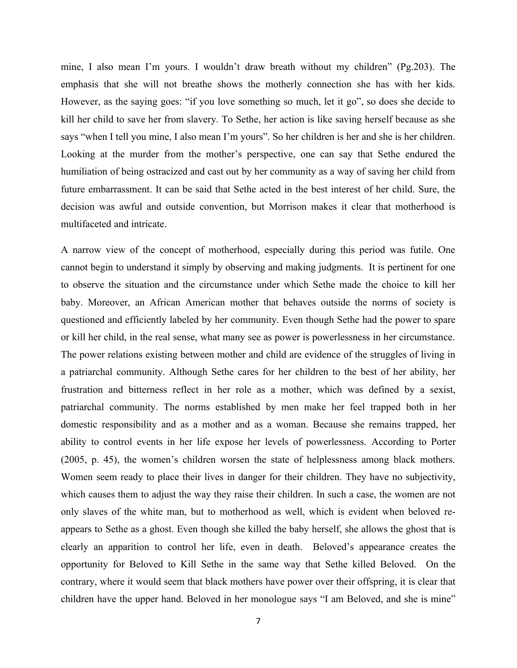mine, I also mean I'm yours. I wouldn't draw breath without my children" (Pg.203). The emphasis that she will not breathe shows the motherly connection she has with her kids. However, as the saying goes: "if you love something so much, let it go", so does she decide to kill her child to save her from slavery. To Sethe, her action is like saving herself because as she says "when I tell you mine, I also mean I'm yours". So her children is her and she is her children. Looking at the murder from the mother's perspective, one can say that Sethe endured the humiliation of being ostracized and cast out by her community as a way of saving her child from future embarrassment. It can be said that Sethe acted in the best interest of her child. Sure, the decision was awful and outside convention, but Morrison makes it clear that motherhood is multifaceted and intricate.

A narrow view of the concept of motherhood, especially during this period was futile. One cannot begin to understand it simply by observing and making judgments. It is pertinent for one to observe the situation and the circumstance under which Sethe made the choice to kill her baby. Moreover, an African American mother that behaves outside the norms of society is questioned and efficiently labeled by her community. Even though Sethe had the power to spare or kill her child, in the real sense, what many see as power is powerlessness in her circumstance. The power relations existing between mother and child are evidence of the struggles of living in a patriarchal community. Although Sethe cares for her children to the best of her ability, her frustration and bitterness reflect in her role as a mother, which was defined by a sexist, patriarchal community. The norms established by men make her feel trapped both in her domestic responsibility and as a mother and as a woman. Because she remains trapped, her ability to control events in her life expose her levels of powerlessness. According to Porter (2005, p. 45), the women's children worsen the state of helplessness among black mothers. Women seem ready to place their lives in danger for their children. They have no subjectivity, which causes them to adjust the way they raise their children. In such a case, the women are not only slaves of the white man, but to motherhood as well, which is evident when beloved reappears to Sethe as a ghost. Even though she killed the baby herself, she allows the ghost that is clearly an apparition to control her life, even in death. Beloved's appearance creates the opportunity for Beloved to Kill Sethe in the same way that Sethe killed Beloved. On the contrary, where it would seem that black mothers have power over their offspring, it is clear that children have the upper hand. Beloved in her monologue says "I am Beloved, and she is mine"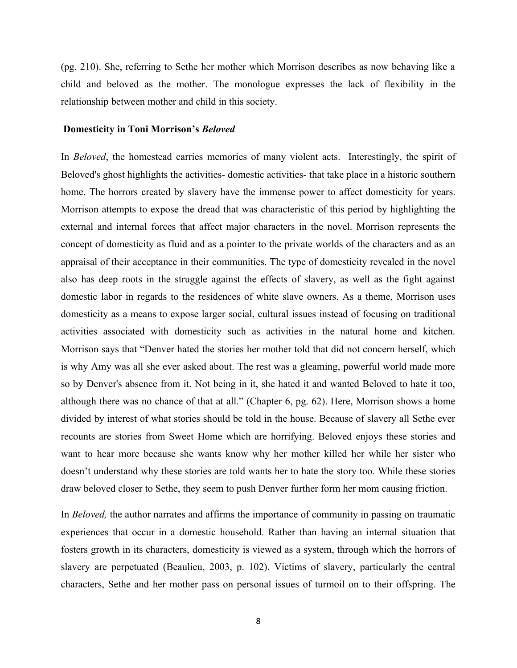(pg. 210). She, referring to Sethe her mother which Morrison describes as now behaving like a child and beloved as the mother. The monologue expresses the lack of flexibility in the relationship between mother and child in this society.

#### **Domesticity in Toni Morrison's** *Beloved*

In *Beloved*, the homestead carries memories of many violent acts. Interestingly, the spirit of Beloved's ghost highlights the activities- domestic activities- that take place in a historic southern home. The horrors created by slavery have the immense power to affect domesticity for years. Morrison attempts to expose the dread that was characteristic of this period by highlighting the external and internal forces that affect major characters in the novel. Morrison represents the concept of domesticity as fluid and as a pointer to the private worlds of the characters and as an appraisal of their acceptance in their communities. The type of domesticity revealed in the novel also has deep roots in the struggle against the effects of slavery, as well as the fight against domestic labor in regards to the residences of white slave owners. As a theme, Morrison uses domesticity as a means to expose larger social, cultural issues instead of focusing on traditional activities associated with domesticity such as activities in the natural home and kitchen. Morrison says that "Denver hated the stories her mother told that did not concern herself, which is why Amy was all she ever asked about. The rest was a gleaming, powerful world made more so by Denver's absence from it. Not being in it, she hated it and wanted Beloved to hate it too, although there was no chance of that at all." (Chapter 6, pg. 62). Here, Morrison shows a home divided by interest of what stories should be told in the house. Because of slavery all Sethe ever recounts are stories from Sweet Home which are horrifying. Beloved enjoys these stories and want to hear more because she wants know why her mother killed her while her sister who doesn't understand why these stories are told wants her to hate the story too. While these stories draw beloved closer to Sethe, they seem to push Denver further form her mom causing friction.

In *Beloved,* the author narrates and affirms the importance of community in passing on traumatic experiences that occur in a domestic household. Rather than having an internal situation that fosters growth in its characters, domesticity is viewed as a system, through which the horrors of slavery are perpetuated (Beaulieu, 2003, p. 102). Victims of slavery, particularly the central characters, Sethe and her mother pass on personal issues of turmoil on to their offspring. The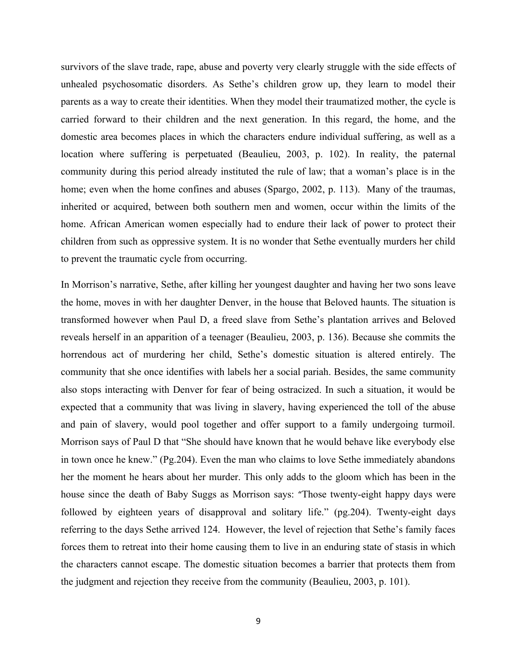survivors of the slave trade, rape, abuse and poverty very clearly struggle with the side effects of unhealed psychosomatic disorders. As Sethe's children grow up, they learn to model their parents as a way to create their identities. When they model their traumatized mother, the cycle is carried forward to their children and the next generation. In this regard, the home, and the domestic area becomes places in which the characters endure individual suffering, as well as a location where suffering is perpetuated (Beaulieu, 2003, p. 102). In reality, the paternal community during this period already instituted the rule of law; that a woman's place is in the home; even when the home confines and abuses (Spargo, 2002, p. 113). Many of the traumas, inherited or acquired, between both southern men and women, occur within the limits of the home. African American women especially had to endure their lack of power to protect their children from such as oppressive system. It is no wonder that Sethe eventually murders her child to prevent the traumatic cycle from occurring.

In Morrison's narrative, Sethe, after killing her youngest daughter and having her two sons leave the home, moves in with her daughter Denver, in the house that Beloved haunts. The situation is transformed however when Paul D, a freed slave from Sethe's plantation arrives and Beloved reveals herself in an apparition of a teenager (Beaulieu, 2003, p. 136). Because she commits the horrendous act of murdering her child, Sethe's domestic situation is altered entirely. The community that she once identifies with labels her a social pariah. Besides, the same community also stops interacting with Denver for fear of being ostracized. In such a situation, it would be expected that a community that was living in slavery, having experienced the toll of the abuse and pain of slavery, would pool together and offer support to a family undergoing turmoil. Morrison says of Paul D that "She should have known that he would behave like everybody else in town once he knew." (Pg.204). Even the man who claims to love Sethe immediately abandons her the moment he hears about her murder. This only adds to the gloom which has been in the house since the death of Baby Suggs as Morrison says: "Those twenty-eight happy days were followed by eighteen years of disapproval and solitary life." (pg.204). Twenty-eight days referring to the days Sethe arrived 124. However, the level of rejection that Sethe's family faces forces them to retreat into their home causing them to live in an enduring state of stasis in which the characters cannot escape. The domestic situation becomes a barrier that protects them from the judgment and rejection they receive from the community (Beaulieu, 2003, p. 101).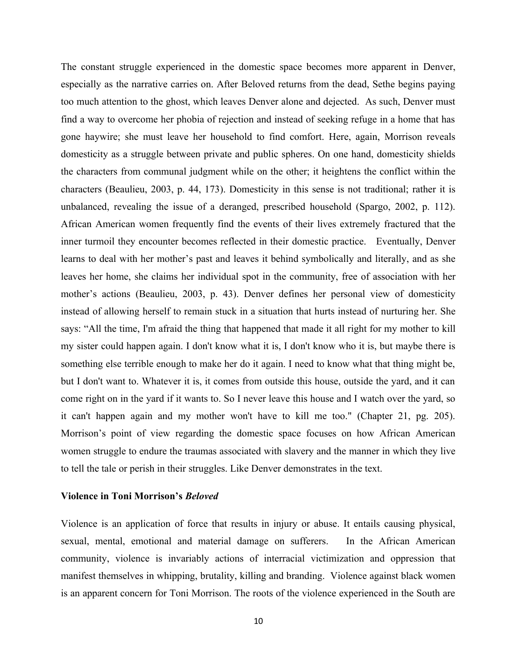The constant struggle experienced in the domestic space becomes more apparent in Denver, especially as the narrative carries on. After Beloved returns from the dead, Sethe begins paying too much attention to the ghost, which leaves Denver alone and dejected. As such, Denver must find a way to overcome her phobia of rejection and instead of seeking refuge in a home that has gone haywire; she must leave her household to find comfort. Here, again, Morrison reveals domesticity as a struggle between private and public spheres. On one hand, domesticity shields the characters from communal judgment while on the other; it heightens the conflict within the characters (Beaulieu, 2003, p. 44, 173). Domesticity in this sense is not traditional; rather it is unbalanced, revealing the issue of a deranged, prescribed household (Spargo, 2002, p. 112). African American women frequently find the events of their lives extremely fractured that the inner turmoil they encounter becomes reflected in their domestic practice. Eventually, Denver learns to deal with her mother's past and leaves it behind symbolically and literally, and as she leaves her home, she claims her individual spot in the community, free of association with her mother's actions (Beaulieu, 2003, p. 43). Denver defines her personal view of domesticity instead of allowing herself to remain stuck in a situation that hurts instead of nurturing her. She says: "All the time, I'm afraid the thing that happened that made it all right for my mother to kill my sister could happen again. I don't know what it is, I don't know who it is, but maybe there is something else terrible enough to make her do it again. I need to know what that thing might be, but I don't want to. Whatever it is, it comes from outside this house, outside the yard, and it can come right on in the yard if it wants to. So I never leave this house and I watch over the yard, so it can't happen again and my mother won't have to kill me too." (Chapter 21, pg. 205). Morrison's point of view regarding the domestic space focuses on how African American women struggle to endure the traumas associated with slavery and the manner in which they live to tell the tale or perish in their struggles. Like Denver demonstrates in the text.

#### **Violence in Toni Morrison's** *Beloved*

Violence is an application of force that results in injury or abuse. It entails causing physical, sexual, mental, emotional and material damage on sufferers. In the African American community, violence is invariably actions of interracial victimization and oppression that manifest themselves in whipping, brutality, killing and branding. Violence against black women is an apparent concern for Toni Morrison. The roots of the violence experienced in the South are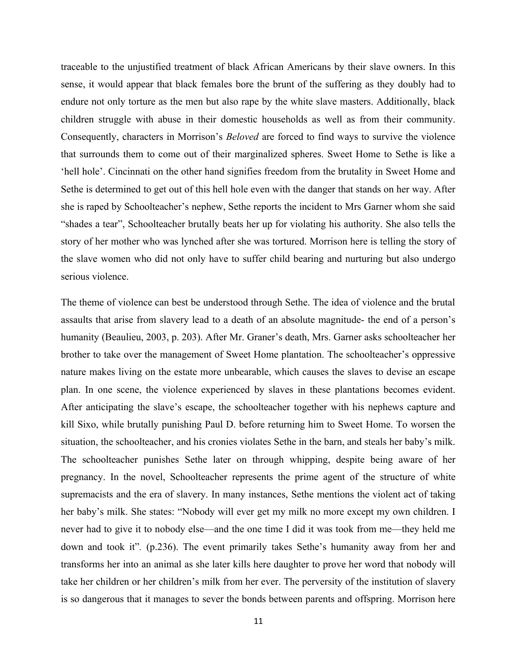traceable to the unjustified treatment of black African Americans by their slave owners. In this sense, it would appear that black females bore the brunt of the suffering as they doubly had to endure not only torture as the men but also rape by the white slave masters. Additionally, black children struggle with abuse in their domestic households as well as from their community. Consequently, characters in Morrison's *Beloved* are forced to find ways to survive the violence that surrounds them to come out of their marginalized spheres. Sweet Home to Sethe is like a 'hell hole'. Cincinnati on the other hand signifies freedom from the brutality in Sweet Home and Sethe is determined to get out of this hell hole even with the danger that stands on her way. After she is raped by Schoolteacher's nephew, Sethe reports the incident to Mrs Garner whom she said "shades a tear", Schoolteacher brutally beats her up for violating his authority. She also tells the story of her mother who was lynched after she was tortured. Morrison here is telling the story of the slave women who did not only have to suffer child bearing and nurturing but also undergo serious violence.

The theme of violence can best be understood through Sethe. The idea of violence and the brutal assaults that arise from slavery lead to a death of an absolute magnitude- the end of a person's humanity (Beaulieu, 2003, p. 203). After Mr. Graner's death, Mrs. Garner asks schoolteacher her brother to take over the management of Sweet Home plantation. The schoolteacher's oppressive nature makes living on the estate more unbearable, which causes the slaves to devise an escape plan. In one scene, the violence experienced by slaves in these plantations becomes evident. After anticipating the slave's escape, the schoolteacher together with his nephews capture and kill Sixo, while brutally punishing Paul D. before returning him to Sweet Home. To worsen the situation, the schoolteacher, and his cronies violates Sethe in the barn, and steals her baby's milk. The schoolteacher punishes Sethe later on through whipping, despite being aware of her pregnancy. In the novel, Schoolteacher represents the prime agent of the structure of white supremacists and the era of slavery. In many instances, Sethe mentions the violent act of taking her baby's milk. She states: "Nobody will ever get my milk no more except my own children. I never had to give it to nobody else—and the one time I did it was took from me—they held me down and took it"*.* (p.236). The event primarily takes Sethe's humanity away from her and transforms her into an animal as she later kills here daughter to prove her word that nobody will take her children or her children's milk from her ever. The perversity of the institution of slavery is so dangerous that it manages to sever the bonds between parents and offspring. Morrison here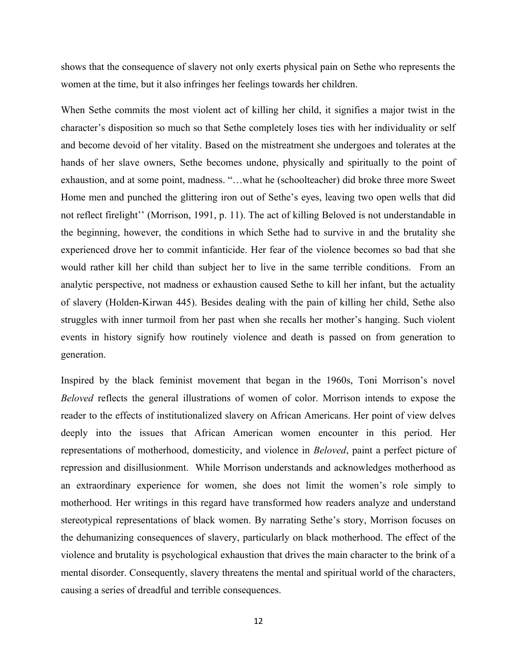shows that the consequence of slavery not only exerts physical pain on Sethe who represents the women at the time, but it also infringes her feelings towards her children.

When Sethe commits the most violent act of killing her child, it signifies a major twist in the character's disposition so much so that Sethe completely loses ties with her individuality or self and become devoid of her vitality. Based on the mistreatment she undergoes and tolerates at the hands of her slave owners, Sethe becomes undone, physically and spiritually to the point of exhaustion, and at some point, madness. "…what he (schoolteacher) did broke three more Sweet Home men and punched the glittering iron out of Sethe's eyes, leaving two open wells that did not reflect firelight'' (Morrison, 1991, p. 11). The act of killing Beloved is not understandable in the beginning, however, the conditions in which Sethe had to survive in and the brutality she experienced drove her to commit infanticide. Her fear of the violence becomes so bad that she would rather kill her child than subject her to live in the same terrible conditions. From an analytic perspective, not madness or exhaustion caused Sethe to kill her infant, but the actuality of slavery (Holden-Kirwan 445). Besides dealing with the pain of killing her child, Sethe also struggles with inner turmoil from her past when she recalls her mother's hanging. Such violent events in history signify how routinely violence and death is passed on from generation to generation.

Inspired by the black feminist movement that began in the 1960s, Toni Morrison's novel *Beloved* reflects the general illustrations of women of color. Morrison intends to expose the reader to the effects of institutionalized slavery on African Americans. Her point of view delves deeply into the issues that African American women encounter in this period. Her representations of motherhood, domesticity, and violence in *Beloved*, paint a perfect picture of repression and disillusionment. While Morrison understands and acknowledges motherhood as an extraordinary experience for women, she does not limit the women's role simply to motherhood. Her writings in this regard have transformed how readers analyze and understand stereotypical representations of black women. By narrating Sethe's story, Morrison focuses on the dehumanizing consequences of slavery, particularly on black motherhood. The effect of the violence and brutality is psychological exhaustion that drives the main character to the brink of a mental disorder. Consequently, slavery threatens the mental and spiritual world of the characters, causing a series of dreadful and terrible consequences.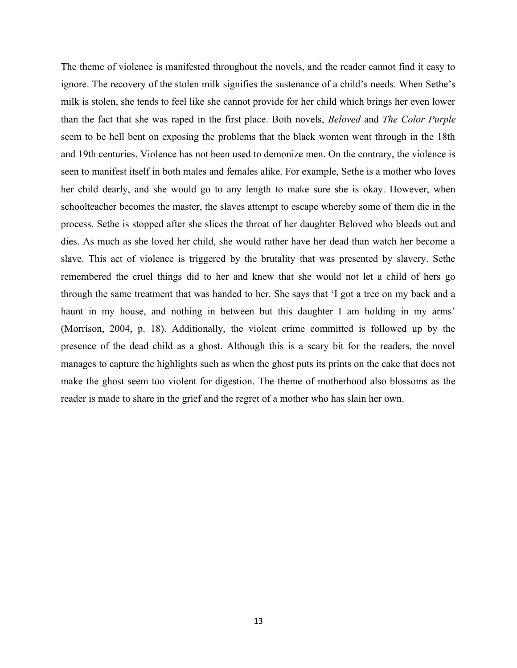The theme of violence is manifested throughout the novels, and the reader cannot find it easy to ignore. The recovery of the stolen milk signifies the sustenance of a child's needs. When Sethe's milk is stolen, she tends to feel like she cannot provide for her child which brings her even lower than the fact that she was raped in the first place. Both novels, *Beloved* and *The Color Purple* seem to be hell bent on exposing the problems that the black women went through in the 18th and 19th centuries. Violence has not been used to demonize men. On the contrary, the violence is seen to manifest itself in both males and females alike. For example, Sethe is a mother who loves her child dearly, and she would go to any length to make sure she is okay. However, when schoolteacher becomes the master, the slaves attempt to escape whereby some of them die in the process. Sethe is stopped after she slices the throat of her daughter Beloved who bleeds out and dies. As much as she loved her child, she would rather have her dead than watch her become a slave. This act of violence is triggered by the brutality that was presented by slavery. Sethe remembered the cruel things did to her and knew that she would not let a child of hers go through the same treatment that was handed to her. She says that 'I got a tree on my back and a haunt in my house, and nothing in between but this daughter I am holding in my arms' (Morrison, 2004, p. 18). Additionally, the violent crime committed is followed up by the presence of the dead child as a ghost. Although this is a scary bit for the readers, the novel manages to capture the highlights such as when the ghost puts its prints on the cake that does not make the ghost seem too violent for digestion. The theme of motherhood also blossoms as the reader is made to share in the grief and the regret of a mother who has slain her own.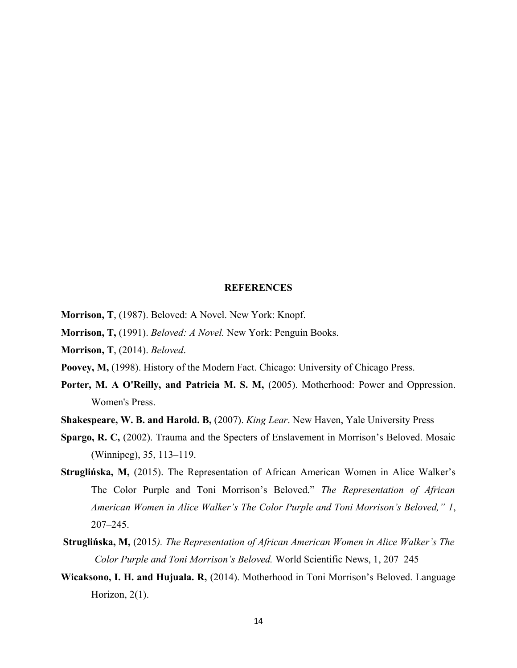#### **REFERENCES**

- **Morrison, T**, (1987). Beloved: A Novel. New York: Knopf.
- **Morrison, T,** (1991). *Beloved: A Novel.* New York: Penguin Books.
- **Morrison, T**, (2014). *Beloved*.
- **Poovey, M,** (1998). History of the Modern Fact. Chicago: University of Chicago Press.
- **Porter, M. A O'Reilly, and Patricia M. S. M,** (2005). Motherhood: Power and Oppression. Women's Press.
- **Shakespeare, W. B. and Harold. B,** (2007). *King Lear*. New Haven, Yale University Press
- **Spargo, R. C,** (2002). Trauma and the Specters of Enslavement in Morrison's Beloved. Mosaic (Winnipeg), 35, 113–119.
- **Struglińska, M,** (2015). The Representation of African American Women in Alice Walker's The Color Purple and Toni Morrison's Beloved." *The Representation of African American Women in Alice Walker's The Color Purple and Toni Morrison's Beloved," 1*, 207–245.
- **Struglińska, M,** (2015*). The Representation of African American Women in Alice Walker's The Color Purple and Toni Morrison's Beloved.* World Scientific News, 1, 207–245
- **Wicaksono, I. H. and Hujuala. R,** (2014). Motherhood in Toni Morrison's Beloved. Language Horizon, 2(1).